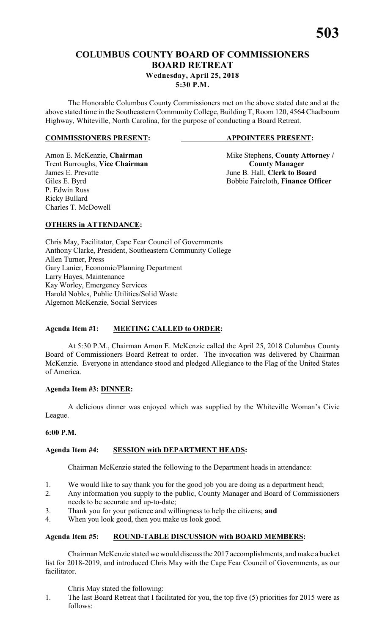# **COLUMBUS COUNTY BOARD OF COMMISSIONERS BOARD RETREAT**

**Wednesday, April 25, 2018 5:30 P.M.**

The Honorable Columbus County Commissioners met on the above stated date and at the above stated time in the Southeastern CommunityCollege, Building T, Room 120, 4564 Chadbourn Highway, Whiteville, North Carolina, for the purpose of conducting a Board Retreat.

#### **COMMISSIONERS PRESENT: APPOINTEES PRESENT:**

Trent Burroughs, **Vice Chairman County Manager** James E. Prevatte June B. Hall, **Clerk to Board** P. Edwin Russ Ricky Bullard Charles T. McDowell

Amon E. McKenzie, **Chairman** Mike Stephens, **County Attorney** / Giles E. Byrd Bobbie Faircloth, **Finance Officer** 

#### **OTHERS in ATTENDANCE:**

Chris May, Facilitator, Cape Fear Council of Governments Anthony Clarke, President, Southeastern Community College Allen Turner, Press Gary Lanier, Economic/Planning Department Larry Hayes, Maintenance Kay Worley, Emergency Services Harold Nobles, Public Utilities/Solid Waste Algernon McKenzie, Social Services

### **Agenda Item #1: MEETING CALLED to ORDER:**

At 5:30 P.M., Chairman Amon E. McKenzie called the April 25, 2018 Columbus County Board of Commissioners Board Retreat to order. The invocation was delivered by Chairman McKenzie. Everyone in attendance stood and pledged Allegiance to the Flag of the United States of America.

#### **Agenda Item #3: DINNER:**

A delicious dinner was enjoyed which was supplied by the Whiteville Woman's Civic League.

#### **6:00 P.M.**

#### **Agenda Item #4: SESSION with DEPARTMENT HEADS:**

Chairman McKenzie stated the following to the Department heads in attendance:

- 1. We would like to say thank you for the good job you are doing as a department head;
- 2. Any information you supply to the public, County Manager and Board of Commissioners needs to be accurate and up-to-date;
- 3. Thank you for your patience and willingness to help the citizens; **and**
- 4. When you look good, then you make us look good.

#### **Agenda Item #5: ROUND-TABLE DISCUSSION with BOARD MEMBERS:**

Chairman McKenzie stated we would discuss the 2017 accomplishments, and make a bucket list for 2018-2019, and introduced Chris May with the Cape Fear Council of Governments, as our facilitator.

Chris May stated the following:

1. The last Board Retreat that I facilitated for you, the top five (5) priorities for 2015 were as follows: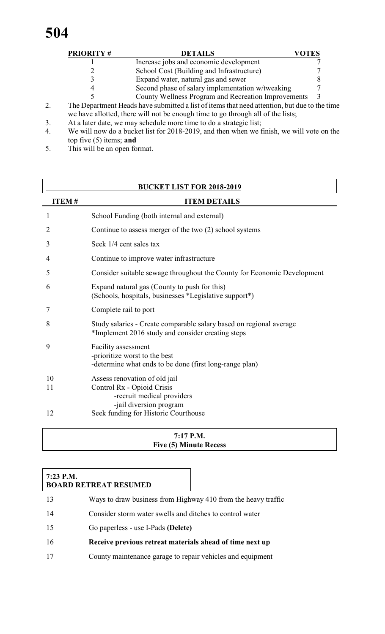|    | <b>PRIORITY#</b> | <b>DETAILS</b>                                                                               | VOTES |
|----|------------------|----------------------------------------------------------------------------------------------|-------|
|    |                  | Increase jobs and economic development                                                       |       |
|    |                  | School Cost (Building and Infrastructure)                                                    |       |
|    |                  | Expand water, natural gas and sewer                                                          |       |
|    |                  | Second phase of salary implementation w/tweaking                                             |       |
|    |                  | County Wellness Program and Recreation Improvements                                          |       |
| 2. |                  | The Department Heads have submitted a list of items that need attention, but due to the time |       |
|    |                  | we have allotted, there will not be enough time to go through all of the lists;              |       |

- 3. At a later date, we may schedule more time to do a strategic list;
- 4. We will now do a bucket list for 2018-2019, and then when we finish, we will vote on the top five (5) items; **and**
- 5. This will be an open format.

| <b>BUCKET LIST FOR 2018-2019</b> |                                                                                                                          |  |  |  |  |
|----------------------------------|--------------------------------------------------------------------------------------------------------------------------|--|--|--|--|
| <b>ITEM#</b>                     | <b>ITEM DETAILS</b>                                                                                                      |  |  |  |  |
| 1                                | School Funding (both internal and external)                                                                              |  |  |  |  |
| 2                                | Continue to assess merger of the two (2) school systems                                                                  |  |  |  |  |
| 3                                | Seek 1/4 cent sales tax                                                                                                  |  |  |  |  |
| 4                                | Continue to improve water infrastructure                                                                                 |  |  |  |  |
| 5                                | Consider suitable sewage throughout the County for Economic Development                                                  |  |  |  |  |
| 6                                | Expand natural gas (County to push for this)<br>(Schools, hospitals, businesses *Legislative support*)                   |  |  |  |  |
| 7                                | Complete rail to port                                                                                                    |  |  |  |  |
| 8                                | Study salaries - Create comparable salary based on regional average<br>*Implement 2016 study and consider creating steps |  |  |  |  |
| 9                                | Facility assessment<br>-prioritize worst to the best<br>-determine what ends to be done (first long-range plan)          |  |  |  |  |
| 10<br>11                         | Assess renovation of old jail<br>Control Rx - Opioid Crisis<br>-recruit medical providers<br>-jail diversion program     |  |  |  |  |
| 12                               | Seek funding for Historic Courthouse                                                                                     |  |  |  |  |

#### **7:17 P.M. Five (5) Minute Recess**

#### **7:23 P.M. BOARD RETREAT RESUMED**

 Ways to draw business from Highway 410 from the heavy traffic Consider storm water swells and ditches to control water Go paperless - use I-Pads **(Delete) Receive previous retreat materials ahead of time next up** County maintenance garage to repair vehicles and equipment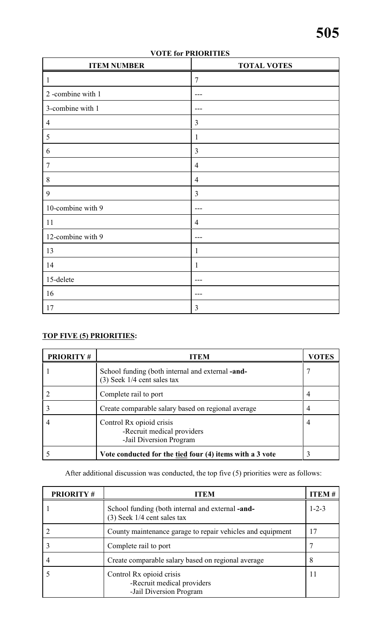| <b>ITEM NUMBER</b> | <b>TOTAL VOTES</b> |
|--------------------|--------------------|
| $\mathbf{1}$       | $\overline{7}$     |
| 2-combine with 1   | $--$               |
| 3-combine with 1   |                    |
| $\overline{4}$     | $\mathfrak{Z}$     |
| 5                  | $\mathbf{1}$       |
| 6                  | $\mathfrak{Z}$     |
| $\overline{7}$     | $\overline{4}$     |
| 8                  | $\overline{4}$     |
| 9                  | $\mathfrak{Z}$     |
| 10-combine with 9  | ---                |
| <sup>11</sup>      | $\overline{4}$     |
| 12-combine with 9  | $- - -$            |
| 13                 | $\mathbf{1}$       |
| 14                 | $\mathbf{1}$       |
| 15-delete          |                    |
| 16                 | $- - -$            |
| 17                 | $\mathfrak{Z}$     |

### **VOTE for PRIORITIES**

# **TOP FIVE (5) PRIORITIES:**

| <b>PRIORITY#</b> | <b>ITEM</b>                                                                            | VOTES |
|------------------|----------------------------------------------------------------------------------------|-------|
|                  | School funding (both internal and external <b>-and-</b><br>(3) Seek 1/4 cent sales tax |       |
|                  | Complete rail to port                                                                  |       |
|                  | Create comparable salary based on regional average                                     |       |
|                  | Control Rx opioid crisis<br>-Recruit medical providers<br>-Jail Diversion Program      |       |
|                  | Vote conducted for the tied four (4) items with a 3 vote                               |       |

After additional discussion was conducted, the top five (5) priorities were as follows:

| <b>PRIORITY#</b> | ITEM                                                                                   | ITEM #      |
|------------------|----------------------------------------------------------------------------------------|-------------|
|                  | School funding (both internal and external <b>-and-</b><br>(3) Seek 1/4 cent sales tax | $1 - 2 - 3$ |
|                  | County maintenance garage to repair vehicles and equipment                             | 17          |
|                  | Complete rail to port                                                                  |             |
|                  | Create comparable salary based on regional average                                     | 8           |
|                  | Control Rx opioid crisis<br>-Recruit medical providers<br>-Jail Diversion Program      | 11          |